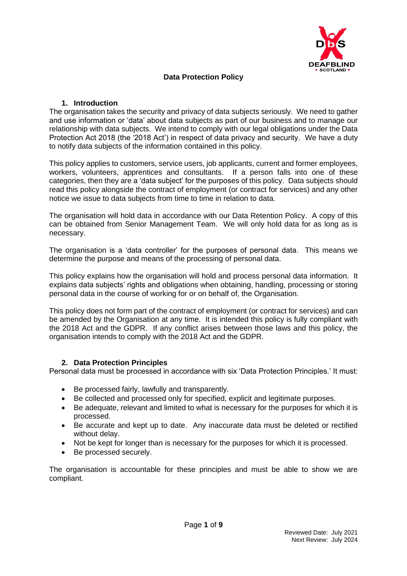

## **Data Protection Policy**

### **1. Introduction**

The organisation takes the security and privacy of data subjects seriously. We need to gather and use information or 'data' about data subjects as part of our business and to manage our relationship with data subjects. We intend to comply with our legal obligations under the Data Protection Act 2018 (the '2018 Act') in respect of data privacy and security. We have a duty to notify data subjects of the information contained in this policy.

This policy applies to customers, service users, job applicants, current and former employees, workers, volunteers, apprentices and consultants. If a person falls into one of these categories, then they are a 'data subject' for the purposes of this policy. Data subjects should read this policy alongside the contract of employment (or contract for services) and any other notice we issue to data subjects from time to time in relation to data.

The organisation will hold data in accordance with our Data Retention Policy. A copy of this can be obtained from Senior Management Team. We will only hold data for as long as is necessary.

The organisation is a 'data controller' for the purposes of personal data. This means we determine the purpose and means of the processing of personal data.

This policy explains how the organisation will hold and process personal data information. It explains data subjects' rights and obligations when obtaining, handling, processing or storing personal data in the course of working for or on behalf of, the Organisation.

This policy does not form part of the contract of employment (or contract for services) and can be amended by the Organisation at any time. It is intended this policy is fully compliant with the 2018 Act and the GDPR. If any conflict arises between those laws and this policy, the organisation intends to comply with the 2018 Act and the GDPR.

### **2. Data Protection Principles**

Personal data must be processed in accordance with six 'Data Protection Principles.' It must:

- Be processed fairly, lawfully and transparently.
- Be collected and processed only for specified, explicit and legitimate purposes.
- Be adequate, relevant and limited to what is necessary for the purposes for which it is processed.
- Be accurate and kept up to date. Any inaccurate data must be deleted or rectified without delay.
- Not be kept for longer than is necessary for the purposes for which it is processed.
- Be processed securely.

The organisation is accountable for these principles and must be able to show we are compliant.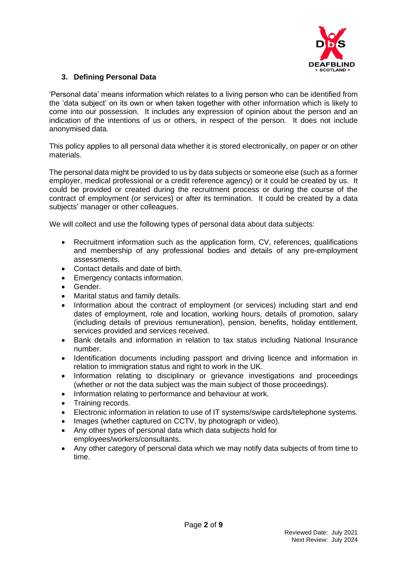

## **3. Defining Personal Data**

'Personal data' means information which relates to a living person who can be identified from the 'data subject' on its own or when taken together with other information which is likely to come into our possession. It includes any expression of opinion about the person and an indication of the intentions of us or others, in respect of the person. It does not include anonymised data.

This policy applies to all personal data whether it is stored electronically, on paper or on other materials.

The personal data might be provided to us by data subjects or someone else (such as a former employer, medical professional or a credit reference agency) or it could be created by us. It could be provided or created during the recruitment process or during the course of the contract of employment (or services) or after its termination. It could be created by a data subjects' manager or other colleagues.

We will collect and use the following types of personal data about data subjects:

- Recruitment information such as the application form, CV, references, qualifications and membership of any professional bodies and details of any pre-employment assessments.
- Contact details and date of birth.
- Emergency contacts information.
- Gender.
- Marital status and family details.
- Information about the contract of employment (or services) including start and end dates of employment, role and location, working hours, details of promotion, salary (including details of previous remuneration), pension, benefits, holiday entitlement, services provided and services received.
- Bank details and information in relation to tax status including National Insurance number.
- Identification documents including passport and driving licence and information in relation to immigration status and right to work in the UK.
- Information relating to disciplinary or grievance investigations and proceedings (whether or not the data subject was the main subject of those proceedings).
- Information relating to performance and behaviour at work.
- Training records.
- Electronic information in relation to use of IT systems/swipe cards/telephone systems.
- Images (whether captured on CCTV, by photograph or video).
- Any other types of personal data which data subjects hold for employees/workers/consultants.
- Any other category of personal data which we may notify data subjects of from time to time.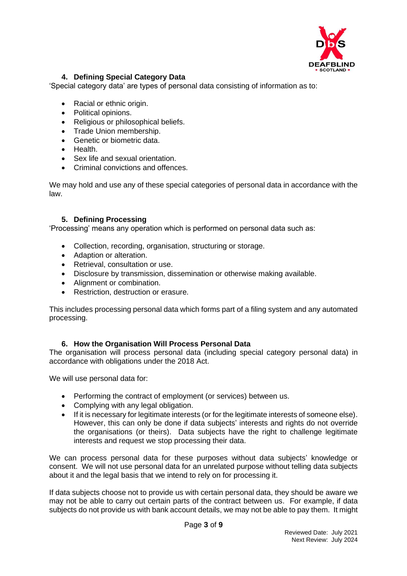

# **4. Defining Special Category Data**

'Special category data' are types of personal data consisting of information as to:

- Racial or ethnic origin.
- Political opinions.
- Religious or philosophical beliefs.
- Trade Union membership.
- Genetic or biometric data.
- Health.
- Sex life and sexual orientation.
- Criminal convictions and offences.

We may hold and use any of these special categories of personal data in accordance with the law.

### **5. Defining Processing**

'Processing' means any operation which is performed on personal data such as:

- Collection, recording, organisation, structuring or storage.
- Adaption or alteration.
- Retrieval, consultation or use.
- Disclosure by transmission, dissemination or otherwise making available.
- Alignment or combination.
- Restriction, destruction or erasure.

This includes processing personal data which forms part of a filing system and any automated processing.

### **6. How the Organisation Will Process Personal Data**

The organisation will process personal data (including special category personal data) in accordance with obligations under the 2018 Act.

We will use personal data for:

- Performing the contract of employment (or services) between us.
- Complying with any legal obligation.
- If it is necessary for legitimate interests (or for the legitimate interests of someone else). However, this can only be done if data subjects' interests and rights do not override the organisations (or theirs). Data subjects have the right to challenge legitimate interests and request we stop processing their data.

We can process personal data for these purposes without data subjects' knowledge or consent. We will not use personal data for an unrelated purpose without telling data subjects about it and the legal basis that we intend to rely on for processing it.

If data subjects choose not to provide us with certain personal data, they should be aware we may not be able to carry out certain parts of the contract between us. For example, if data subjects do not provide us with bank account details, we may not be able to pay them. It might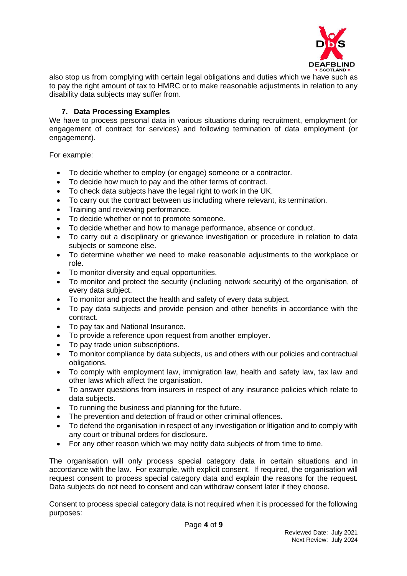

also stop us from complying with certain legal obligations and duties which we have such as to pay the right amount of tax to HMRC or to make reasonable adjustments in relation to any disability data subjects may suffer from.

## **7. Data Processing Examples**

We have to process personal data in various situations during recruitment, employment (or engagement of contract for services) and following termination of data employment (or engagement).

For example:

- To decide whether to employ (or engage) someone or a contractor.
- To decide how much to pay and the other terms of contract.
- To check data subjects have the legal right to work in the UK.
- To carry out the contract between us including where relevant, its termination.
- Training and reviewing performance.
- To decide whether or not to promote someone.
- To decide whether and how to manage performance, absence or conduct.
- To carry out a disciplinary or grievance investigation or procedure in relation to data subjects or someone else.
- To determine whether we need to make reasonable adjustments to the workplace or role.
- To monitor diversity and equal opportunities.
- To monitor and protect the security (including network security) of the organisation, of every data subject.
- To monitor and protect the health and safety of every data subject.
- To pay data subjects and provide pension and other benefits in accordance with the contract.
- To pay tax and National Insurance.
- To provide a reference upon request from another employer.
- To pay trade union subscriptions.
- To monitor compliance by data subjects, us and others with our policies and contractual obligations.
- To comply with employment law, immigration law, health and safety law, tax law and other laws which affect the organisation.
- To answer questions from insurers in respect of any insurance policies which relate to data subjects.
- To running the business and planning for the future.
- The prevention and detection of fraud or other criminal offences.
- To defend the organisation in respect of any investigation or litigation and to comply with any court or tribunal orders for disclosure.
- For any other reason which we may notify data subjects of from time to time.

The organisation will only process special category data in certain situations and in accordance with the law. For example, with explicit consent. If required, the organisation will request consent to process special category data and explain the reasons for the request. Data subjects do not need to consent and can withdraw consent later if they choose.

Consent to process special category data is not required when it is processed for the following purposes: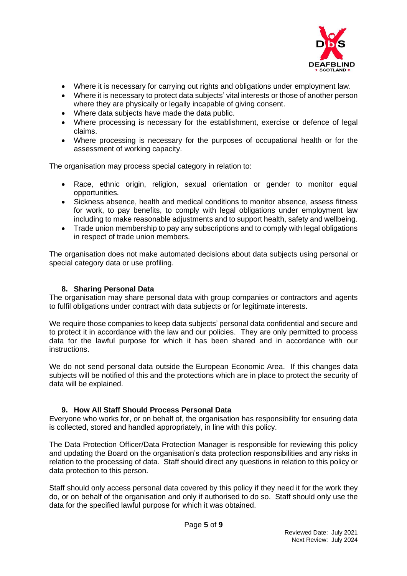

- Where it is necessary for carrying out rights and obligations under employment law.
- Where it is necessary to protect data subjects' vital interests or those of another person where they are physically or legally incapable of giving consent.
- Where data subjects have made the data public.
- Where processing is necessary for the establishment, exercise or defence of legal claims.
- Where processing is necessary for the purposes of occupational health or for the assessment of working capacity.

The organisation may process special category in relation to:

- Race, ethnic origin, religion, sexual orientation or gender to monitor equal opportunities.
- Sickness absence, health and medical conditions to monitor absence, assess fitness for work, to pay benefits, to comply with legal obligations under employment law including to make reasonable adjustments and to support health, safety and wellbeing.
- Trade union membership to pay any subscriptions and to comply with legal obligations in respect of trade union members.

The organisation does not make automated decisions about data subjects using personal or special category data or use profiling.

### **8. Sharing Personal Data**

The organisation may share personal data with group companies or contractors and agents to fulfil obligations under contract with data subjects or for legitimate interests.

We require those companies to keep data subjects' personal data confidential and secure and to protect it in accordance with the law and our policies. They are only permitted to process data for the lawful purpose for which it has been shared and in accordance with our instructions.

We do not send personal data outside the European Economic Area. If this changes data subjects will be notified of this and the protections which are in place to protect the security of data will be explained.

### **9. How All Staff Should Process Personal Data**

Everyone who works for, or on behalf of, the organisation has responsibility for ensuring data is collected, stored and handled appropriately, in line with this policy.

The Data Protection Officer/Data Protection Manager is responsible for reviewing this policy and updating the Board on the organisation's data protection responsibilities and any risks in relation to the processing of data. Staff should direct any questions in relation to this policy or data protection to this person.

Staff should only access personal data covered by this policy if they need it for the work they do, or on behalf of the organisation and only if authorised to do so. Staff should only use the data for the specified lawful purpose for which it was obtained.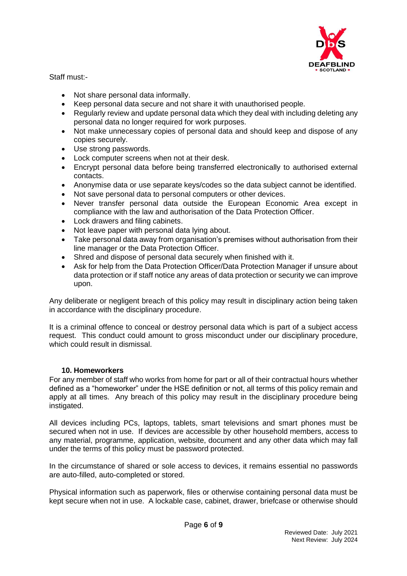

Staff must:-

- Not share personal data informally.
- Keep personal data secure and not share it with unauthorised people.
- Regularly review and update personal data which they deal with including deleting any personal data no longer required for work purposes.
- Not make unnecessary copies of personal data and should keep and dispose of any copies securely.
- Use strong passwords.
- Lock computer screens when not at their desk.
- Encrypt personal data before being transferred electronically to authorised external contacts.
- Anonymise data or use separate keys/codes so the data subject cannot be identified.
- Not save personal data to personal computers or other devices.
- Never transfer personal data outside the European Economic Area except in compliance with the law and authorisation of the Data Protection Officer.
- Lock drawers and filing cabinets.
- Not leave paper with personal data lying about.
- Take personal data away from organisation's premises without authorisation from their line manager or the Data Protection Officer.
- Shred and dispose of personal data securely when finished with it.
- Ask for help from the Data Protection Officer/Data Protection Manager if unsure about data protection or if staff notice any areas of data protection or security we can improve upon.

Any deliberate or negligent breach of this policy may result in disciplinary action being taken in accordance with the disciplinary procedure.

It is a criminal offence to conceal or destroy personal data which is part of a subject access request. This conduct could amount to gross misconduct under our disciplinary procedure, which could result in dismissal

## **10. Homeworkers**

For any member of staff who works from home for part or all of their contractual hours whether defined as a "homeworker" under the HSE definition or not, all terms of this policy remain and apply at all times. Any breach of this policy may result in the disciplinary procedure being instigated.

All devices including PCs, laptops, tablets, smart televisions and smart phones must be secured when not in use. If devices are accessible by other household members, access to any material, programme, application, website, document and any other data which may fall under the terms of this policy must be password protected.

In the circumstance of shared or sole access to devices, it remains essential no passwords are auto-filled, auto-completed or stored.

Physical information such as paperwork, files or otherwise containing personal data must be kept secure when not in use. A lockable case, cabinet, drawer, briefcase or otherwise should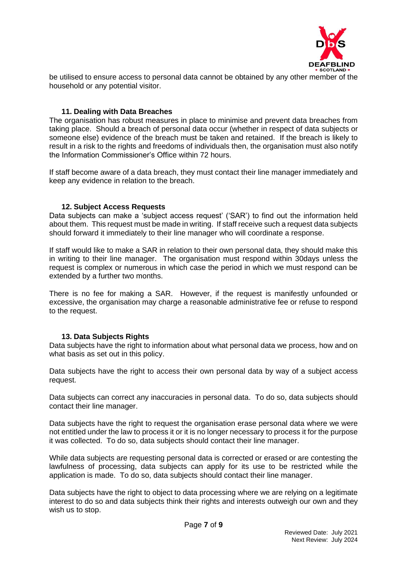

be utilised to ensure access to personal data cannot be obtained by any other member of the household or any potential visitor.

### **11. Dealing with Data Breaches**

The organisation has robust measures in place to minimise and prevent data breaches from taking place. Should a breach of personal data occur (whether in respect of data subjects or someone else) evidence of the breach must be taken and retained. If the breach is likely to result in a risk to the rights and freedoms of individuals then, the organisation must also notify the Information Commissioner's Office within 72 hours.

If staff become aware of a data breach, they must contact their line manager immediately and keep any evidence in relation to the breach.

### **12. Subject Access Requests**

Data subjects can make a 'subject access request' ('SAR') to find out the information held about them. This request must be made in writing. If staff receive such a request data subjects should forward it immediately to their line manager who will coordinate a response.

If staff would like to make a SAR in relation to their own personal data, they should make this in writing to their line manager. The organisation must respond within 30days unless the request is complex or numerous in which case the period in which we must respond can be extended by a further two months.

There is no fee for making a SAR. However, if the request is manifestly unfounded or excessive, the organisation may charge a reasonable administrative fee or refuse to respond to the request.

### **13. Data Subjects Rights**

Data subjects have the right to information about what personal data we process, how and on what basis as set out in this policy.

Data subjects have the right to access their own personal data by way of a subject access request.

Data subjects can correct any inaccuracies in personal data. To do so, data subjects should contact their line manager.

Data subjects have the right to request the organisation erase personal data where we were not entitled under the law to process it or it is no longer necessary to process it for the purpose it was collected. To do so, data subjects should contact their line manager.

While data subjects are requesting personal data is corrected or erased or are contesting the lawfulness of processing, data subjects can apply for its use to be restricted while the application is made. To do so, data subjects should contact their line manager.

Data subjects have the right to object to data processing where we are relying on a legitimate interest to do so and data subjects think their rights and interests outweigh our own and they wish us to stop.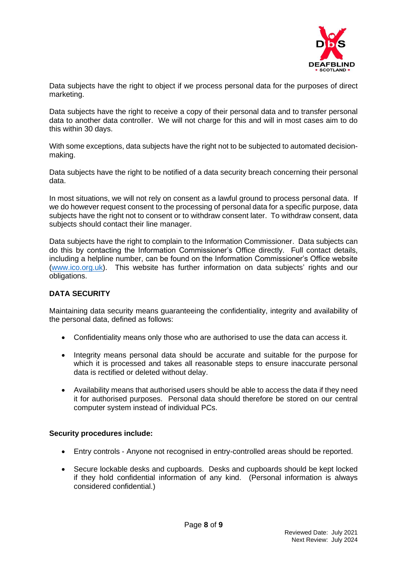

Data subjects have the right to object if we process personal data for the purposes of direct marketing.

Data subjects have the right to receive a copy of their personal data and to transfer personal data to another data controller. We will not charge for this and will in most cases aim to do this within 30 days.

With some exceptions, data subjects have the right not to be subjected to automated decisionmaking.

Data subjects have the right to be notified of a data security breach concerning their personal data.

In most situations, we will not rely on consent as a lawful ground to process personal data. If we do however request consent to the processing of personal data for a specific purpose, data subjects have the right not to consent or to withdraw consent later. To withdraw consent, data subjects should contact their line manager.

Data subjects have the right to complain to the Information Commissioner. Data subjects can do this by contacting the Information Commissioner's Office directly. Full contact details, including a helpline number, can be found on the Information Commissioner's Office website [\(www.ico.org.uk\)](http://www.ico.org.uk/). This website has further information on data subjects' rights and our obligations.

## **DATA SECURITY**

Maintaining data security means guaranteeing the confidentiality, integrity and availability of the personal data, defined as follows:

- Confidentiality means only those who are authorised to use the data can access it.
- Integrity means personal data should be accurate and suitable for the purpose for which it is processed and takes all reasonable steps to ensure inaccurate personal data is rectified or deleted without delay.
- Availability means that authorised users should be able to access the data if they need it for authorised purposes. Personal data should therefore be stored on our central computer system instead of individual PCs.

### **Security procedures include:**

- Entry controls Anyone not recognised in entry-controlled areas should be reported.
- Secure lockable desks and cupboards. Desks and cupboards should be kept locked if they hold confidential information of any kind. (Personal information is always considered confidential.)